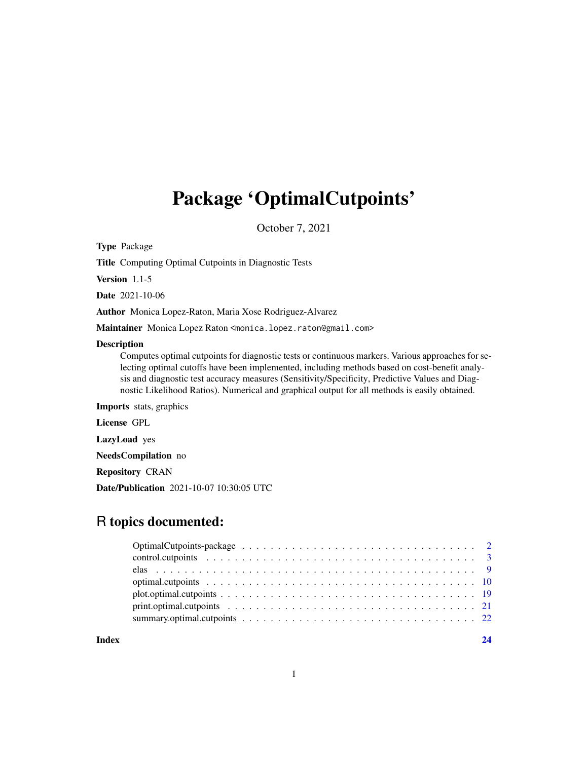## Package 'OptimalCutpoints'

October 7, 2021

Type Package

Title Computing Optimal Cutpoints in Diagnostic Tests

Version 1.1-5

Date 2021-10-06

Author Monica Lopez-Raton, Maria Xose Rodriguez-Alvarez

Maintainer Monica Lopez Raton <monica.lopez.raton@gmail.com>

#### Description

Computes optimal cutpoints for diagnostic tests or continuous markers. Various approaches for selecting optimal cutoffs have been implemented, including methods based on cost-benefit analysis and diagnostic test accuracy measures (Sensitivity/Specificity, Predictive Values and Diagnostic Likelihood Ratios). Numerical and graphical output for all methods is easily obtained.

Imports stats, graphics

License GPL

LazyLoad yes

NeedsCompilation no

Repository CRAN

Date/Publication 2021-10-07 10:30:05 UTC

### R topics documented:

**Index** [24](#page-23-0)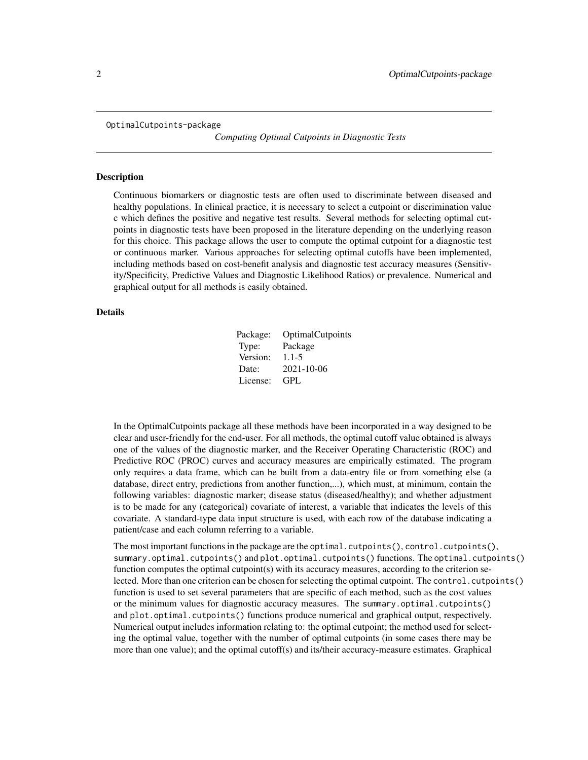<span id="page-1-0"></span>OptimalCutpoints-package

*Computing Optimal Cutpoints in Diagnostic Tests*

#### Description

Continuous biomarkers or diagnostic tests are often used to discriminate between diseased and healthy populations. In clinical practice, it is necessary to select a cutpoint or discrimination value c which defines the positive and negative test results. Several methods for selecting optimal cutpoints in diagnostic tests have been proposed in the literature depending on the underlying reason for this choice. This package allows the user to compute the optimal cutpoint for a diagnostic test or continuous marker. Various approaches for selecting optimal cutoffs have been implemented, including methods based on cost-benefit analysis and diagnostic test accuracy measures (Sensitivity/Specificity, Predictive Values and Diagnostic Likelihood Ratios) or prevalence. Numerical and graphical output for all methods is easily obtained.

#### Details

| Package: | OptimalCutpoints |
|----------|------------------|
| Type:    | Package          |
| Version: | $1.1 - 5$        |
| Date:    | 2021-10-06       |
| License: | GPL              |

In the OptimalCutpoints package all these methods have been incorporated in a way designed to be clear and user-friendly for the end-user. For all methods, the optimal cutoff value obtained is always one of the values of the diagnostic marker, and the Receiver Operating Characteristic (ROC) and Predictive ROC (PROC) curves and accuracy measures are empirically estimated. The program only requires a data frame, which can be built from a data-entry file or from something else (a database, direct entry, predictions from another function,...), which must, at minimum, contain the following variables: diagnostic marker; disease status (diseased/healthy); and whether adjustment is to be made for any (categorical) covariate of interest, a variable that indicates the levels of this covariate. A standard-type data input structure is used, with each row of the database indicating a patient/case and each column referring to a variable.

The most important functions in the package are the optimal.cutpoints(), control.cutpoints(), summary.optimal.cutpoints() and plot.optimal.cutpoints() functions. The optimal.cutpoints() function computes the optimal cutpoint(s) with its accuracy measures, according to the criterion selected. More than one criterion can be chosen for selecting the optimal cutpoint. The control.cutpoints() function is used to set several parameters that are specific of each method, such as the cost values or the minimum values for diagnostic accuracy measures. The summary.optimal.cutpoints() and plot.optimal.cutpoints() functions produce numerical and graphical output, respectively. Numerical output includes information relating to: the optimal cutpoint; the method used for selecting the optimal value, together with the number of optimal cutpoints (in some cases there may be more than one value); and the optimal cutoff(s) and its/their accuracy-measure estimates. Graphical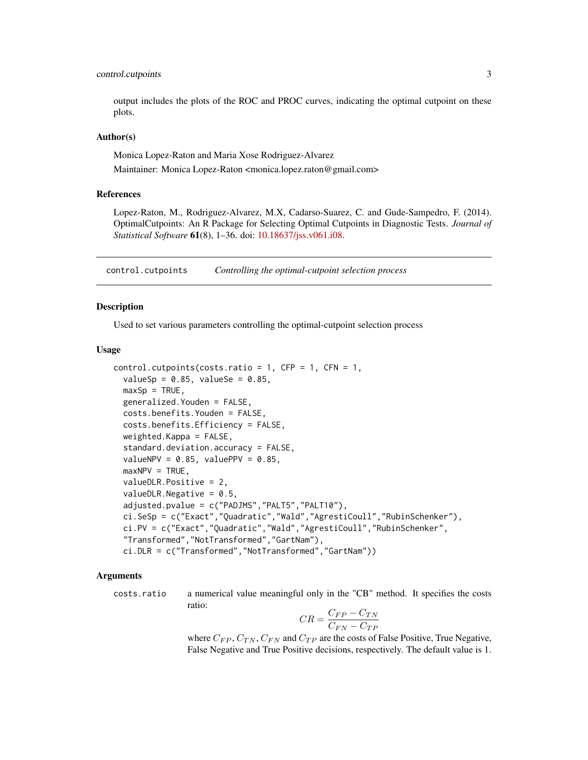#### <span id="page-2-0"></span>control.cutpoints 3

output includes the plots of the ROC and PROC curves, indicating the optimal cutpoint on these plots.

#### Author(s)

Monica Lopez-Raton and Maria Xose Rodriguez-Alvarez

Maintainer: Monica Lopez-Raton <monica.lopez.raton@gmail.com>

#### References

Lopez-Raton, M., Rodriguez-Alvarez, M.X, Cadarso-Suarez, C. and Gude-Sampedro, F. (2014). OptimalCutpoints: An R Package for Selecting Optimal Cutpoints in Diagnostic Tests. *Journal of Statistical Software* 61(8), 1–36. doi: [10.18637/jss.v061.i08.](https://doi.org/10.18637/jss.v061.i08)

<span id="page-2-1"></span>control.cutpoints *Controlling the optimal-cutpoint selection process*

#### Description

Used to set various parameters controlling the optimal-cutpoint selection process

#### Usage

```
control.cutpoints(costs.ratio = 1, CFP = 1, CFN = 1,
  valuesp = 0.85, valueSe = 0.85,
 maxSp = TRUE,generalized.Youden = FALSE,
 costs.benefits.Youden = FALSE,
  costs.benefits.Efficiency = FALSE,
 weighted.Kappa = FALSE,
  standard.deviation.accuracy = FALSE,
 valueNPV = 0.85, valuePPV = 0.85,
 maxNPV = TRUE,valueDLR.Positive = 2,
  valueDLR.Negative = 0.5,
  adjusted.pvalue = c("PADJMS","PALT5","PALT10"),
  ci.SeSp = c("Exact","Quadratic","Wald","AgrestiCoull","RubinSchenker"),
  ci.PV = c("Exact","Quadratic","Wald","AgrestiCoull","RubinSchenker",
  "Transformed","NotTransformed","GartNam"),
  ci.DLR = c("Transformed","NotTransformed","GartNam"))
```
#### Arguments

costs.ratio a numerical value meaningful only in the "CB" method. It specifies the costs ratio:

$$
CR = \frac{C_{FP}-C_{TN}}{C_{FN}-C_{TP}}
$$

where  $C_{FP}$ ,  $C_{TN}$ ,  $C_{FN}$  and  $C_{TP}$  are the costs of False Positive, True Negative, False Negative and True Positive decisions, respectively. The default value is 1.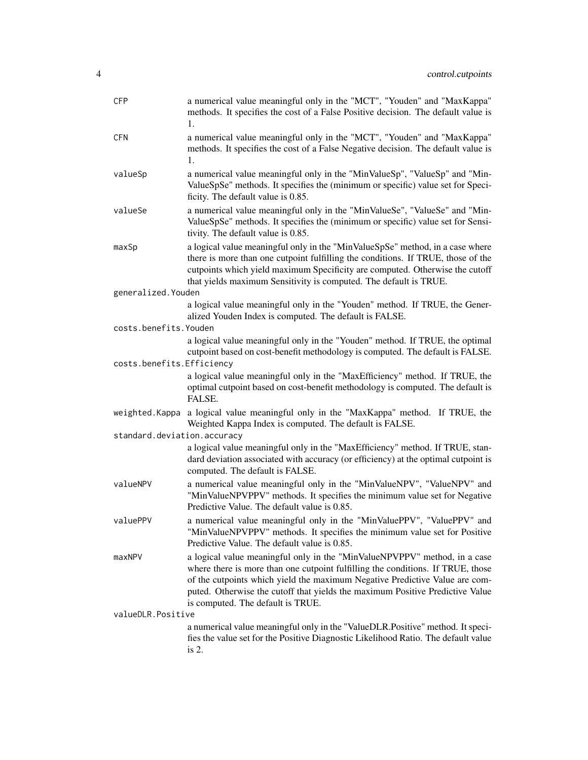| <b>CFP</b>                  | a numerical value meaningful only in the "MCT", "Youden" and "MaxKappa"<br>methods. It specifies the cost of a False Positive decision. The default value is<br>1.                                                                                                                                                                                                |  |
|-----------------------------|-------------------------------------------------------------------------------------------------------------------------------------------------------------------------------------------------------------------------------------------------------------------------------------------------------------------------------------------------------------------|--|
| <b>CFN</b>                  | a numerical value meaningful only in the "MCT", "Youden" and "MaxKappa"<br>methods. It specifies the cost of a False Negative decision. The default value is<br>1.                                                                                                                                                                                                |  |
| valueSp                     | a numerical value meaningful only in the "MinValueSp", "ValueSp" and "Min-<br>ValueSpSe" methods. It specifies the (minimum or specific) value set for Speci-<br>ficity. The default value is 0.85.                                                                                                                                                               |  |
| valueSe                     | a numerical value meaningful only in the "MinValueSe", "ValueSe" and "Min-<br>ValueSpSe" methods. It specifies the (minimum or specific) value set for Sensi-<br>tivity. The default value is 0.85.                                                                                                                                                               |  |
| maxSp                       | a logical value meaningful only in the "MinValueSpSe" method, in a case where<br>there is more than one cutpoint fulfilling the conditions. If TRUE, those of the<br>cutpoints which yield maximum Specificity are computed. Otherwise the cutoff<br>that yields maximum Sensitivity is computed. The default is TRUE.                                            |  |
| generalized. Youden         |                                                                                                                                                                                                                                                                                                                                                                   |  |
| costs.benefits.Youden       | a logical value meaningful only in the "Youden" method. If TRUE, the Gener-<br>alized Youden Index is computed. The default is FALSE.                                                                                                                                                                                                                             |  |
|                             | a logical value meaningful only in the "Youden" method. If TRUE, the optimal<br>cutpoint based on cost-benefit methodology is computed. The default is FALSE.                                                                                                                                                                                                     |  |
| costs.benefits.Efficiency   | a logical value meaningful only in the "MaxEfficiency" method. If TRUE, the<br>optimal cutpoint based on cost-benefit methodology is computed. The default is<br>FALSE.                                                                                                                                                                                           |  |
| weighted. Kappa             | a logical value meaningful only in the "MaxKappa" method. If TRUE, the<br>Weighted Kappa Index is computed. The default is FALSE.                                                                                                                                                                                                                                 |  |
| standard.deviation.accuracy |                                                                                                                                                                                                                                                                                                                                                                   |  |
|                             | a logical value meaningful only in the "MaxEfficiency" method. If TRUE, stan-<br>dard deviation associated with accuracy (or efficiency) at the optimal cutpoint is<br>computed. The default is FALSE.                                                                                                                                                            |  |
| valueNPV                    | a numerical value meaningful only in the "MinValueNPV", "ValueNPV" and<br>"MinValueNPVPPV" methods. It specifies the minimum value set for Negative<br>Predictive Value. The default value is 0.85.                                                                                                                                                               |  |
| valuePPV                    | a numerical value meaningful only in the "MinValuePPV", "ValuePPV" and<br>"MinValueNPVPPV" methods. It specifies the minimum value set for Positive<br>Predictive Value. The default value is 0.85.                                                                                                                                                               |  |
| maxNPV                      | a logical value meaningful only in the "MinValueNPVPPV" method, in a case<br>where there is more than one cutpoint fulfilling the conditions. If TRUE, those<br>of the cutpoints which yield the maximum Negative Predictive Value are com-<br>puted. Otherwise the cutoff that yields the maximum Positive Predictive Value<br>is computed. The default is TRUE. |  |
| valueDLR.Positive           |                                                                                                                                                                                                                                                                                                                                                                   |  |
|                             | a numerical value meaningful only in the "ValueDLR.Positive" method. It speci-<br>fies the value set for the Positive Diagnostic Likelihood Ratio. The default value<br>is $2.$                                                                                                                                                                                   |  |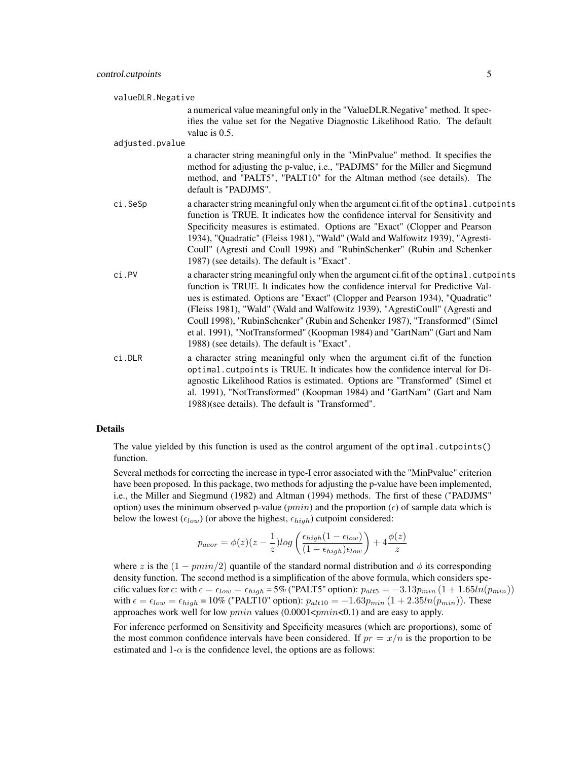| valueDLR.Negative |                                                                                                                                                                                                                                                                                                                                                                                                                                                                                                                                                      |  |
|-------------------|------------------------------------------------------------------------------------------------------------------------------------------------------------------------------------------------------------------------------------------------------------------------------------------------------------------------------------------------------------------------------------------------------------------------------------------------------------------------------------------------------------------------------------------------------|--|
|                   | a numerical value meaningful only in the "ValueDLR.Negative" method. It spec-<br>ifies the value set for the Negative Diagnostic Likelihood Ratio. The default<br>value is $0.5$ .                                                                                                                                                                                                                                                                                                                                                                   |  |
| adjusted.pvalue   |                                                                                                                                                                                                                                                                                                                                                                                                                                                                                                                                                      |  |
|                   | a character string meaningful only in the "MinPvalue" method. It specifies the<br>method for adjusting the p-value, i.e., "PADJMS" for the Miller and Siegmund<br>method, and "PALT5", "PALT10" for the Altman method (see details). The<br>default is "PADJMS".                                                                                                                                                                                                                                                                                     |  |
| ci.SeSp           | a character string meaningful only when the argument ci.fit of the optimal.cutpoints<br>function is TRUE. It indicates how the confidence interval for Sensitivity and<br>Specificity measures is estimated. Options are "Exact" (Clopper and Pearson<br>1934), "Quadratic" (Fleiss 1981), "Wald" (Wald and Walfowitz 1939), "Agresti-<br>Coull" (Agresti and Coull 1998) and "RubinSchenker" (Rubin and Schenker<br>1987) (see details). The default is "Exact".                                                                                    |  |
| ci.PV             | a character string meaningful only when the argument ci.fit of the optimal.cutpoints<br>function is TRUE. It indicates how the confidence interval for Predictive Val-<br>ues is estimated. Options are "Exact" (Clopper and Pearson 1934), "Quadratic"<br>(Fleiss 1981), "Wald" (Wald and Walfowitz 1939), "AgrestiCoull" (Agresti and<br>Coull 1998), "RubinSchenker" (Rubin and Schenker 1987), "Transformed" (Simel<br>et al. 1991), "NotTransformed" (Koopman 1984) and "GartNam" (Gart and Nam<br>1988) (see details). The default is "Exact". |  |
| ci.DLR            | a character string meaningful only when the argument ci.fit of the function<br>optimal. cutpoints is TRUE. It indicates how the confidence interval for Di-<br>agnostic Likelihood Ratios is estimated. Options are "Transformed" (Simel et<br>al. 1991), "NotTransformed" (Koopman 1984) and "GartNam" (Gart and Nam<br>1988)(see details). The default is "Transformed".                                                                                                                                                                           |  |

#### Details

The value yielded by this function is used as the control argument of the optimal.cutpoints() function.

Several methods for correcting the increase in type-I error associated with the "MinPvalue" criterion have been proposed. In this package, two methods for adjusting the p-value have been implemented, i.e., the Miller and Siegmund (1982) and Altman (1994) methods. The first of these ("PADJMS" option) uses the minimum observed p-value (*pmin*) and the proportion ( $\epsilon$ ) of sample data which is below the lowest ( $\epsilon_{low}$ ) (or above the highest,  $\epsilon_{high}$ ) cutpoint considered:

$$
p_{acor} = \phi(z)(z - \frac{1}{z})log\left(\frac{\epsilon_{high}(1 - \epsilon_{low})}{(1 - \epsilon_{high})\epsilon_{low}}\right) + 4\frac{\phi(z)}{z}
$$

where z is the  $(1 - pmin/2)$  quantile of the standard normal distribution and  $\phi$  its corresponding density function. The second method is a simplification of the above formula, which considers specific values for  $\epsilon$ : with  $\epsilon = \epsilon_{low} = \epsilon_{high} = 5\%$  ("PALT5" option):  $p_{alt5} = -3.13p_{min} (1 + 1.65ln(p_{min}))$ with  $\epsilon = \epsilon_{low} = \epsilon_{high} = 10\%$  ("PALT10" option):  $p_{alt10} = -1.63p_{min} (1 + 2.35ln(p_{min}))$ . These approaches work well for low  $pmin$  values (0.0001 $\leq pmin$ <0.1) and are easy to apply.

For inference performed on Sensitivity and Specificity measures (which are proportions), some of the most common confidence intervals have been considered. If  $pr = x/n$  is the proportion to be estimated and  $1-\alpha$  is the confidence level, the options are as follows: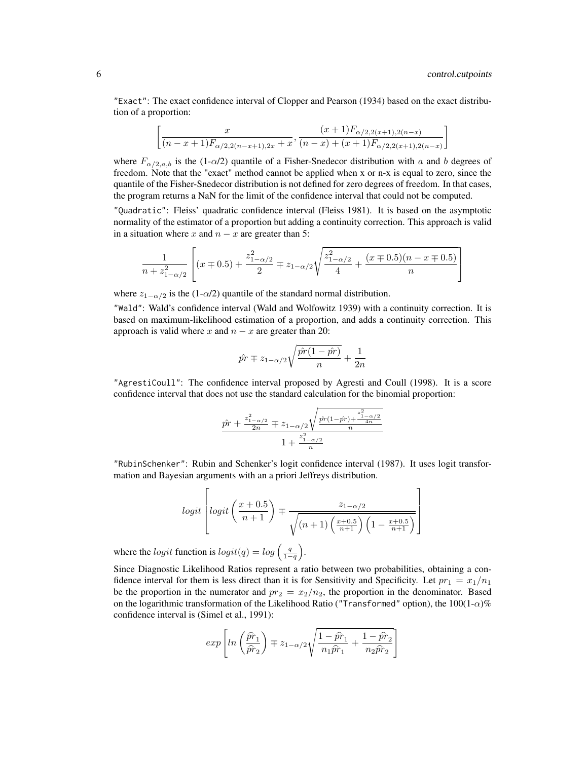"Exact": The exact confidence interval of Clopper and Pearson (1934) based on the exact distribution of a proportion:

$$
\[\frac{x}{(n-x+1)F_{\alpha/2,2(n-x+1),2x}+x}, \frac{(x+1)F_{\alpha/2,2(x+1),2(n-x)}}{(n-x)+(x+1)F_{\alpha/2,2(x+1),2(n-x)}}\]
$$

where  $F_{\alpha/2,a,b}$  is the (1- $\alpha/2$ ) quantile of a Fisher-Snedecor distribution with a and b degrees of freedom. Note that the "exact" method cannot be applied when x or n-x is equal to zero, since the quantile of the Fisher-Snedecor distribution is not defined for zero degrees of freedom. In that cases, the program returns a NaN for the limit of the confidence interval that could not be computed.

"Quadratic": Fleiss' quadratic confidence interval (Fleiss 1981). It is based on the asymptotic normality of the estimator of a proportion but adding a continuity correction. This approach is valid in a situation where x and  $n - x$  are greater than 5:

$$
\frac{1}{n + z_{1-\alpha/2}^2} \left[ (x \mp 0.5) + \frac{z_{1-\alpha/2}^2}{2} \mp z_{1-\alpha/2} \sqrt{\frac{z_{1-\alpha/2}^2}{4} + \frac{(x \mp 0.5)(n - x \mp 0.5)}{n}} \right]
$$

where  $z_{1-\alpha/2}$  is the (1- $\alpha/2$ ) quantile of the standard normal distribution.

"Wald": Wald's confidence interval (Wald and Wolfowitz 1939) with a continuity correction. It is based on maximum-likelihood estimation of a proportion, and adds a continuity correction. This approach is valid where x and  $n - x$  are greater than 20:

$$
\hat{pr} \mp z_{1-\alpha/2} \sqrt{\frac{\hat{pr}(1-\hat{pr})}{n}} + \frac{1}{2n}
$$

"AgrestiCoull": The confidence interval proposed by Agresti and Coull (1998). It is a score confidence interval that does not use the standard calculation for the binomial proportion:

$$
\frac{\hat{p r} + \frac{z_{1-\alpha/2}^2}{2n} \mp z_{1-\alpha/2}\sqrt{\frac{\hat{p r}(1-\hat{p r}) + \frac{z_{1-\alpha/2}^2}{4n}}{n}}
$$

$$
1 + \frac{z_{1-\alpha/2}^2}{n}
$$

"RubinSchenker": Rubin and Schenker's logit confidence interval (1987). It uses logit transformation and Bayesian arguments with an a priori Jeffreys distribution.

$$
logit\left[logit\left(\frac{x+0.5}{n+1}\right) \mp \frac{z_{1-\alpha/2}}{\sqrt{(n+1)\left(\frac{x+0.5}{n+1}\right)\left(1-\frac{x+0.5}{n+1}\right)}}\right]
$$

where the *logit* function is  $logit(q) = log(\frac{q}{1-q})$ .

Since Diagnostic Likelihood Ratios represent a ratio between two probabilities, obtaining a confidence interval for them is less direct than it is for Sensitivity and Specificity. Let  $pr_1 = x_1/n_1$ be the proportion in the numerator and  $pr_2 = x_2/n_2$ , the proportion in the denominator. Based on the logarithmic transformation of the Likelihood Ratio ("Transformed" option), the  $100(1-\alpha)\%$ confidence interval is (Simel et al., 1991):

$$
exp\left[ln\left(\frac{\hat{pr}_1}{\hat{pr}_2}\right) \mp z_{1-\alpha/2}\sqrt{\frac{1-\hat{pr}_1}{n_1\hat{pr}_1} + \frac{1-\hat{pr}_2}{n_2\hat{pr}_2}}\right]
$$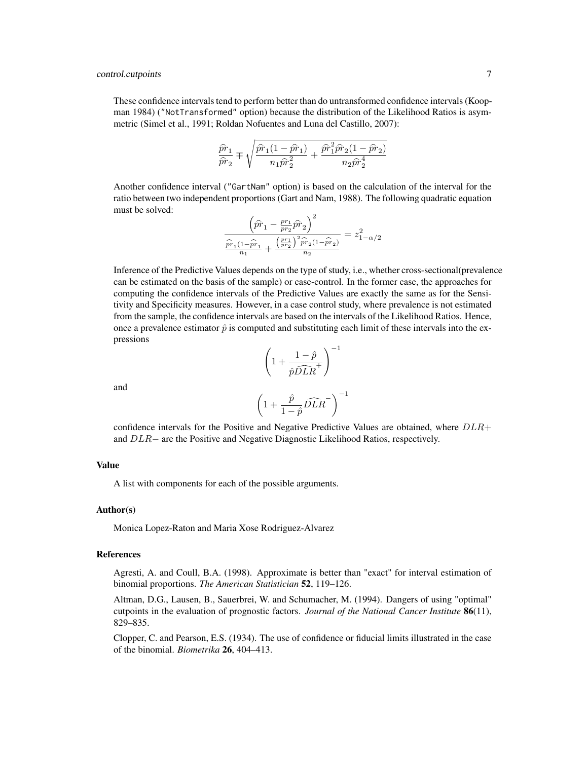#### control.cutpoints 7

These confidence intervals tend to perform better than do untransformed confidence intervals (Koopman 1984) ("NotTransformed" option) because the distribution of the Likelihood Ratios is asymmetric (Simel et al., 1991; Roldan Nofuentes and Luna del Castillo, 2007):

$$
\frac{\hat{p} \hat{r}_1}{\hat{p} \hat{r}_2} \mp \sqrt{\frac{\hat{p} \hat{r}_1(1-\hat{p} \hat{r}_1)}{n_1 \hat{p} \hat{r}_2^2} + \frac{\hat{p} \hat{r}_1^2 \hat{p} \hat{r}_2(1-\hat{p} \hat{r}_2)}{n_2 \hat{p} \hat{r}_2^4}}
$$

Another confidence interval ("GartNam" option) is based on the calculation of the interval for the ratio between two independent proportions (Gart and Nam, 1988). The following quadratic equation must be solved:

$$
\frac{\left(\hat{p\hat{r}}_1 - \frac{p r_1}{p r_2} \hat{p} \hat{r}_2\right)^2}{\frac{\hat{p} \hat{r}_1 (1-\hat{p} \hat{r}_1)}{n_1} + \frac{\left(\frac{p r_1}{p r_2}\right)^2 \hat{p} \hat{r}_2 (1-\hat{p} \hat{r}_2)}{n_2}} = z_{1-\alpha/2}^2
$$

Inference of the Predictive Values depends on the type of study, i.e., whether cross-sectional(prevalence can be estimated on the basis of the sample) or case-control. In the former case, the approaches for computing the confidence intervals of the Predictive Values are exactly the same as for the Sensitivity and Specificity measures. However, in a case control study, where prevalence is not estimated from the sample, the confidence intervals are based on the intervals of the Likelihood Ratios. Hence, once a prevalence estimator  $\hat{p}$  is computed and substituting each limit of these intervals into the expressions  $\setminus$ <sup>-1</sup>

$$
\mathsf{hd}
$$

ar

$$
\left(\begin{array}{c}\n1 + \hat{p} \widehat{DLR}^+ \\
\frac{\hat{p}}{1 - \hat{p}} \widehat{DLR}^-\n\end{array}\right)^{-1}
$$

 $1 + \frac{1-\hat{p}}{\sqrt{p}}$ 

 $\sqrt{ }$ 

confidence intervals for the Positive and Negative Predictive Values are obtained, where  $DLR+$ and DLR− are the Positive and Negative Diagnostic Likelihood Ratios, respectively.

#### Value

A list with components for each of the possible arguments.

#### Author(s)

Monica Lopez-Raton and Maria Xose Rodriguez-Alvarez

#### References

Agresti, A. and Coull, B.A. (1998). Approximate is better than "exact" for interval estimation of binomial proportions. *The American Statistician* 52, 119–126.

Altman, D.G., Lausen, B., Sauerbrei, W. and Schumacher, M. (1994). Dangers of using "optimal" cutpoints in the evaluation of prognostic factors. *Journal of the National Cancer Institute* 86(11), 829–835.

Clopper, C. and Pearson, E.S. (1934). The use of confidence or fiducial limits illustrated in the case of the binomial. *Biometrika* 26, 404–413.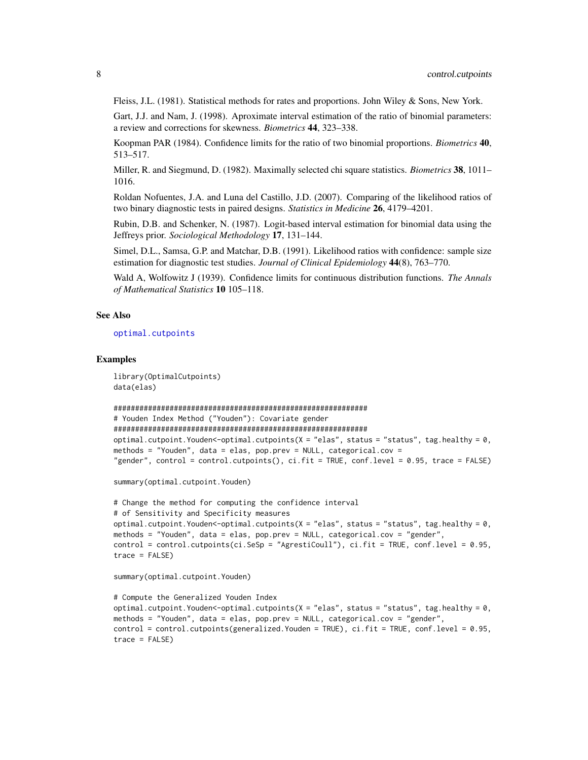Fleiss, J.L. (1981). Statistical methods for rates and proportions. John Wiley & Sons, New York.

Gart, J.J. and Nam, J. (1998). Aproximate interval estimation of the ratio of binomial parameters: a review and corrections for skewness. *Biometrics* 44, 323–338.

Koopman PAR (1984). Confidence limits for the ratio of two binomial proportions. *Biometrics* 40, 513–517.

Miller, R. and Siegmund, D. (1982). Maximally selected chi square statistics. *Biometrics* 38, 1011– 1016.

Roldan Nofuentes, J.A. and Luna del Castillo, J.D. (2007). Comparing of the likelihood ratios of two binary diagnostic tests in paired designs. *Statistics in Medicine* 26, 4179–4201.

Rubin, D.B. and Schenker, N. (1987). Logit-based interval estimation for binomial data using the Jeffreys prior. *Sociological Methodology* 17, 131–144.

Simel, D.L., Samsa, G.P. and Matchar, D.B. (1991). Likelihood ratios with confidence: sample size estimation for diagnostic test studies. *Journal of Clinical Epidemiology* 44(8), 763–770.

Wald A, Wolfowitz J (1939). Confidence limits for continuous distribution functions. *The Annals of Mathematical Statistics* 10 105–118.

#### See Also

[optimal.cutpoints](#page-9-1)

#### Examples

```
library(OptimalCutpoints)
data(elas)
```

```
###########################################################
```

```
# Youden Index Method ("Youden"): Covariate gender
###########################################################
optimal.cutpoint.Youden<-optimal.cutpoints(X = "elas", status = "status", tag.healthy = \theta,
methods = "Youden", data = elas, pop.prev = NULL, categorical.cov =
"gender", control = control.cutpoints(), ci.fit = TRUE, conf.level = 0.95, trace = FALSE)
```
summary(optimal.cutpoint.Youden)

```
# Change the method for computing the confidence interval
# of Sensitivity and Specificity measures
optimal.cutpoint.Youden<-optimal.cutpoints(X = "elas", status = "status", tag.healthy = 0,
methods = "Youden", data = elas, pop.prev = NULL, categorical.cov = "gender",
control = control.cutpoints(ci.SeSp = "AgrestiCoull"), ci.fit = TRUE, conf.level = 0.95,
trace = FALSE)
```

```
summary(optimal.cutpoint.Youden)
```

```
# Compute the Generalized Youden Index
optimal.cutpoint.Youden<-optimal.cutpoints(X = "elas", status = "status", tag.healthy = \theta,
methods = "Youden", data = elas, pop.prev = NULL, categorical.cov = "gender",
control = control.cutpoints(generalized.Youden = TRUE), ci.fit = TRUE, conf.level = 0.95,
trace = FALSE)
```
<span id="page-7-0"></span>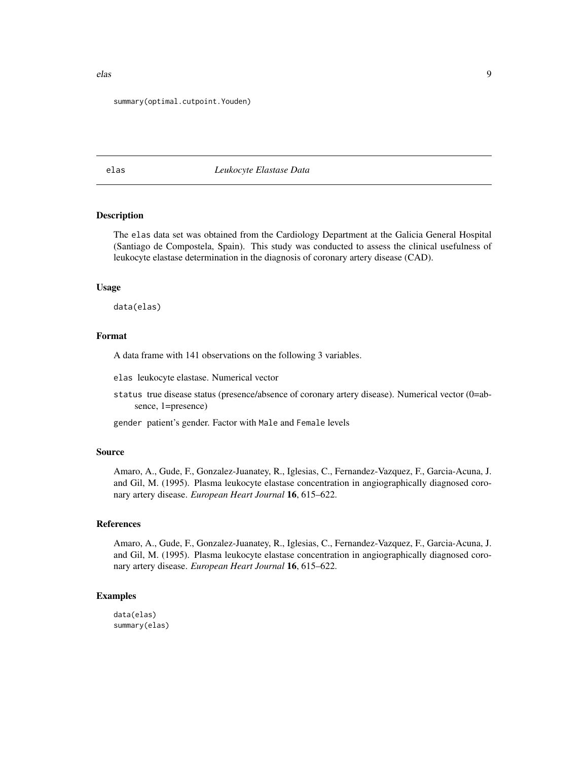#### summary(optimal.cutpoint.Youden)

#### elas *Leukocyte Elastase Data*

#### Description

The elas data set was obtained from the Cardiology Department at the Galicia General Hospital (Santiago de Compostela, Spain). This study was conducted to assess the clinical usefulness of leukocyte elastase determination in the diagnosis of coronary artery disease (CAD).

#### Usage

data(elas)

#### Format

A data frame with 141 observations on the following 3 variables.

elas leukocyte elastase. Numerical vector

status true disease status (presence/absence of coronary artery disease). Numerical vector (0=absence, 1=presence)

gender patient's gender. Factor with Male and Female levels

#### Source

Amaro, A., Gude, F., Gonzalez-Juanatey, R., Iglesias, C., Fernandez-Vazquez, F., Garcia-Acuna, J. and Gil, M. (1995). Plasma leukocyte elastase concentration in angiographically diagnosed coronary artery disease. *European Heart Journal* 16, 615–622.

#### References

Amaro, A., Gude, F., Gonzalez-Juanatey, R., Iglesias, C., Fernandez-Vazquez, F., Garcia-Acuna, J. and Gil, M. (1995). Plasma leukocyte elastase concentration in angiographically diagnosed coronary artery disease. *European Heart Journal* 16, 615–622.

#### Examples

data(elas) summary(elas)

<span id="page-8-0"></span>elas en el comunitat de la comunitat de la comunitat de la comunitat de la comunitat de la comunitat de la comunitat de la comunitat de la comunitat de la comunitat de la comunitat de la comunitat de la comunitat de la com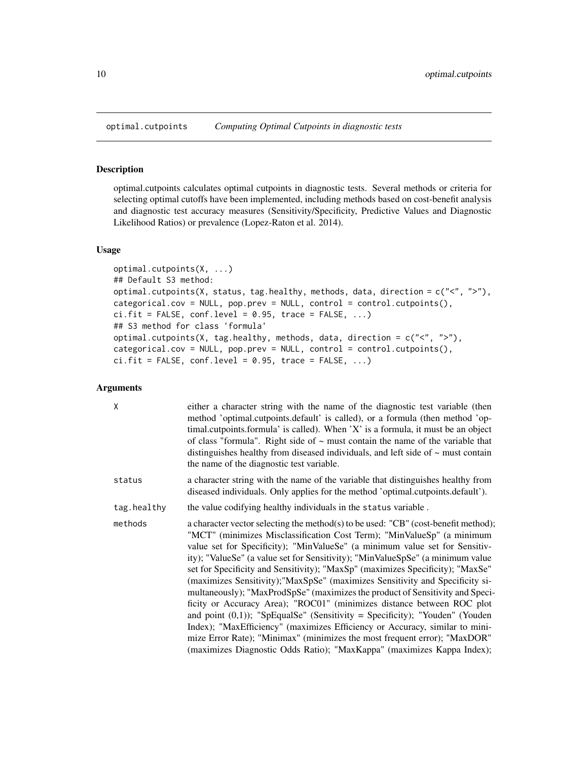<span id="page-9-1"></span><span id="page-9-0"></span>

#### Description

optimal.cutpoints calculates optimal cutpoints in diagnostic tests. Several methods or criteria for selecting optimal cutoffs have been implemented, including methods based on cost-benefit analysis and diagnostic test accuracy measures (Sensitivity/Specificity, Predictive Values and Diagnostic Likelihood Ratios) or prevalence (Lopez-Raton et al. 2014).

#### Usage

```
optimal.cutpoints(X, ...)
## Default S3 method:
optimal.cutpoints(X, status, tag.healthy, methods, data, direction = c("<", ">"),
categorical.cov = NULL, pop.prev = NULL, control = control.cutpoints(),
ci.fit = FALSE, conf. level = 0.95, trace = FALSE, ...## S3 method for class 'formula'
optimal.cutpoints(X, tag.healthy, methods, data, direction = c("<", ">"),
categorical.cov = NULL, pop.prev = NULL, control = control.cutpoints(),
ci.fit = FALSE, conf. level = 0.95, trace = FALSE, ...
```
#### Arguments

| X           | either a character string with the name of the diagnostic test variable (then<br>method 'optimal.cutpoints.default' is called), or a formula (then method 'op-<br>timal.cutpoints.formula' is called). When 'X' is a formula, it must be an object<br>of class "formula". Right side of $\sim$ must contain the name of the variable that<br>distinguishes healthy from diseased individuals, and left side of $\sim$ must contain<br>the name of the diagnostic test variable.                                                                                                                                                                                                                                                                                                                                                                                                                                                                                                    |
|-------------|------------------------------------------------------------------------------------------------------------------------------------------------------------------------------------------------------------------------------------------------------------------------------------------------------------------------------------------------------------------------------------------------------------------------------------------------------------------------------------------------------------------------------------------------------------------------------------------------------------------------------------------------------------------------------------------------------------------------------------------------------------------------------------------------------------------------------------------------------------------------------------------------------------------------------------------------------------------------------------|
| status      | a character string with the name of the variable that distinguishes healthy from<br>diseased individuals. Only applies for the method 'optimal.cutpoints.default').                                                                                                                                                                                                                                                                                                                                                                                                                                                                                                                                                                                                                                                                                                                                                                                                                |
| tag.healthy | the value codifying healthy individuals in the status variable.                                                                                                                                                                                                                                                                                                                                                                                                                                                                                                                                                                                                                                                                                                                                                                                                                                                                                                                    |
| methods     | a character vector selecting the method(s) to be used: "CB" (cost-benefit method);<br>"MCT" (minimizes Misclassification Cost Term); "MinValueSp" (a minimum<br>value set for Specificity); "MinValueSe" (a minimum value set for Sensitiv-<br>ity); "ValueSe" (a value set for Sensitivity); "MinValueSpSe" (a minimum value<br>set for Specificity and Sensitivity); "MaxSp" (maximizes Specificity); "MaxSe"<br>(maximizes Sensitivity); "MaxSpSe" (maximizes Sensitivity and Specificity si-<br>multaneously); "MaxProdSpSe" (maximizes the product of Sensitivity and Speci-<br>ficity or Accuracy Area); "ROC01" (minimizes distance between ROC plot<br>and point $(0,1)$ ; "SpEqualSe" (Sensitivity = Specificity); "Youden" (Youden<br>Index); "MaxEfficiency" (maximizes Efficiency or Accuracy, similar to mini-<br>mize Error Rate); "Minimax" (minimizes the most frequent error); "MaxDOR"<br>(maximizes Diagnostic Odds Ratio); "MaxKappa" (maximizes Kappa Index); |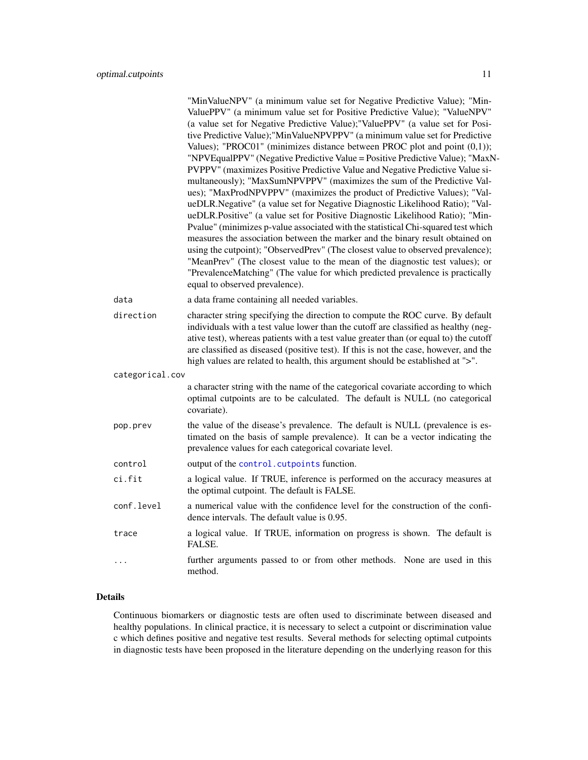<span id="page-10-0"></span>

|                 | "MinValueNPV" (a minimum value set for Negative Predictive Value); "Min-<br>ValuePPV" (a minimum value set for Positive Predictive Value); "ValueNPV"<br>(a value set for Negative Predictive Value); "ValuePPV" (a value set for Posi-<br>tive Predictive Value);"MinValueNPVPPV" (a minimum value set for Predictive<br>Values); "PROC01" (minimizes distance between PROC plot and point $(0,1)$ );<br>"NPVEqualPPV" (Negative Predictive Value = Positive Predictive Value); "MaxN-<br>PVPPV" (maximizes Positive Predictive Value and Negative Predictive Value si-<br>multaneously); "MaxSumNPVPPV" (maximizes the sum of the Predictive Val-<br>ues); "MaxProdNPVPPV" (maximizes the product of Predictive Values); "Val-<br>ueDLR.Negative" (a value set for Negative Diagnostic Likelihood Ratio); "Val-<br>ueDLR.Positive" (a value set for Positive Diagnostic Likelihood Ratio); "Min-<br>Pvalue" (minimizes p-value associated with the statistical Chi-squared test which<br>measures the association between the marker and the binary result obtained on<br>using the cutpoint); "ObservedPrev" (The closest value to observed prevalence);<br>"MeanPrev" (The closest value to the mean of the diagnostic test values); or<br>"PrevalenceMatching" (The value for which predicted prevalence is practically<br>equal to observed prevalence). |
|-----------------|----------------------------------------------------------------------------------------------------------------------------------------------------------------------------------------------------------------------------------------------------------------------------------------------------------------------------------------------------------------------------------------------------------------------------------------------------------------------------------------------------------------------------------------------------------------------------------------------------------------------------------------------------------------------------------------------------------------------------------------------------------------------------------------------------------------------------------------------------------------------------------------------------------------------------------------------------------------------------------------------------------------------------------------------------------------------------------------------------------------------------------------------------------------------------------------------------------------------------------------------------------------------------------------------------------------------------------------------------------------|
| data            | a data frame containing all needed variables.                                                                                                                                                                                                                                                                                                                                                                                                                                                                                                                                                                                                                                                                                                                                                                                                                                                                                                                                                                                                                                                                                                                                                                                                                                                                                                                  |
| direction       | character string specifying the direction to compute the ROC curve. By default<br>individuals with a test value lower than the cutoff are classified as healthy (neg-<br>ative test), whereas patients with a test value greater than (or equal to) the cutoff<br>are classified as diseased (positive test). If this is not the case, however, and the<br>high values are related to health, this argument should be established at ">".                                                                                                                                                                                                                                                                                                                                                                                                                                                                                                                                                                                                                                                                                                                                                                                                                                                                                                                      |
| categorical.cov |                                                                                                                                                                                                                                                                                                                                                                                                                                                                                                                                                                                                                                                                                                                                                                                                                                                                                                                                                                                                                                                                                                                                                                                                                                                                                                                                                                |
|                 | a character string with the name of the categorical covariate according to which<br>optimal cutpoints are to be calculated. The default is NULL (no categorical<br>covariate).                                                                                                                                                                                                                                                                                                                                                                                                                                                                                                                                                                                                                                                                                                                                                                                                                                                                                                                                                                                                                                                                                                                                                                                 |
| pop.prev        | the value of the disease's prevalence. The default is NULL (prevalence is es-<br>timated on the basis of sample prevalence). It can be a vector indicating the<br>prevalence values for each categorical covariate level.                                                                                                                                                                                                                                                                                                                                                                                                                                                                                                                                                                                                                                                                                                                                                                                                                                                                                                                                                                                                                                                                                                                                      |
| control         | output of the control. cutpoints function.                                                                                                                                                                                                                                                                                                                                                                                                                                                                                                                                                                                                                                                                                                                                                                                                                                                                                                                                                                                                                                                                                                                                                                                                                                                                                                                     |
| ci.fit          | a logical value. If TRUE, inference is performed on the accuracy measures at<br>the optimal cutpoint. The default is FALSE.                                                                                                                                                                                                                                                                                                                                                                                                                                                                                                                                                                                                                                                                                                                                                                                                                                                                                                                                                                                                                                                                                                                                                                                                                                    |
| conf.level      | a numerical value with the confidence level for the construction of the confi-<br>dence intervals. The default value is 0.95.                                                                                                                                                                                                                                                                                                                                                                                                                                                                                                                                                                                                                                                                                                                                                                                                                                                                                                                                                                                                                                                                                                                                                                                                                                  |
| trace           | a logical value. If TRUE, information on progress is shown. The default is<br>FALSE.                                                                                                                                                                                                                                                                                                                                                                                                                                                                                                                                                                                                                                                                                                                                                                                                                                                                                                                                                                                                                                                                                                                                                                                                                                                                           |
| .               | further arguments passed to or from other methods. None are used in this<br>method.                                                                                                                                                                                                                                                                                                                                                                                                                                                                                                                                                                                                                                                                                                                                                                                                                                                                                                                                                                                                                                                                                                                                                                                                                                                                            |

#### Details

Continuous biomarkers or diagnostic tests are often used to discriminate between diseased and healthy populations. In clinical practice, it is necessary to select a cutpoint or discrimination value c which defines positive and negative test results. Several methods for selecting optimal cutpoints in diagnostic tests have been proposed in the literature depending on the underlying reason for this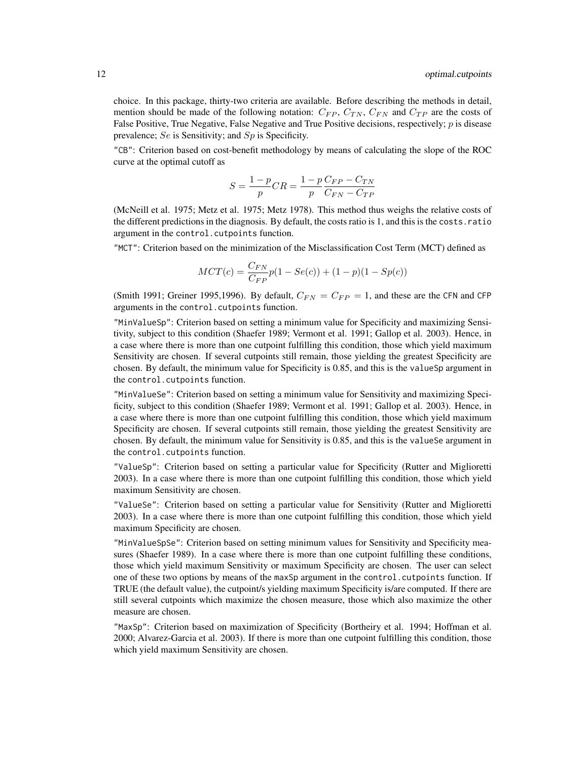choice. In this package, thirty-two criteria are available. Before describing the methods in detail, mention should be made of the following notation:  $C_{FP}$ ,  $C_{TN}$ ,  $C_{FN}$  and  $C_{TP}$  are the costs of False Positive, True Negative, False Negative and True Positive decisions, respectively;  $p$  is disease prevalence; Se is Sensitivity; and Sp is Specificity.

"CB": Criterion based on cost-benefit methodology by means of calculating the slope of the ROC curve at the optimal cutoff as

$$
S = \frac{1-p}{p}CR = \frac{1-p}{p}\frac{C_{FP} - C_{TN}}{C_{FN} - C_{TP}}
$$

(McNeill et al. 1975; Metz et al. 1975; Metz 1978). This method thus weighs the relative costs of the different predictions in the diagnosis. By default, the costs ratio is 1, and this is the costs.ratio argument in the control.cutpoints function.

"MCT": Criterion based on the minimization of the Misclassification Cost Term (MCT) defined as

$$
MCT(c) = \frac{C_{FN}}{C_{FP}}p(1 - Se(c)) + (1 - p)(1 - Sp(c))
$$

(Smith 1991; Greiner 1995,1996). By default,  $C_{FN} = C_{FP} = 1$ , and these are the CFN and CFP arguments in the control.cutpoints function.

"MinValueSp": Criterion based on setting a minimum value for Specificity and maximizing Sensitivity, subject to this condition (Shaefer 1989; Vermont et al. 1991; Gallop et al. 2003). Hence, in a case where there is more than one cutpoint fulfilling this condition, those which yield maximum Sensitivity are chosen. If several cutpoints still remain, those yielding the greatest Specificity are chosen. By default, the minimum value for Specificity is 0.85, and this is the valueSp argument in the control.cutpoints function.

"MinValueSe": Criterion based on setting a minimum value for Sensitivity and maximizing Specificity, subject to this condition (Shaefer 1989; Vermont et al. 1991; Gallop et al. 2003). Hence, in a case where there is more than one cutpoint fulfilling this condition, those which yield maximum Specificity are chosen. If several cutpoints still remain, those yielding the greatest Sensitivity are chosen. By default, the minimum value for Sensitivity is 0.85, and this is the valueSe argument in the control.cutpoints function.

"ValueSp": Criterion based on setting a particular value for Specificity (Rutter and Miglioretti 2003). In a case where there is more than one cutpoint fulfilling this condition, those which yield maximum Sensitivity are chosen.

"ValueSe": Criterion based on setting a particular value for Sensitivity (Rutter and Miglioretti 2003). In a case where there is more than one cutpoint fulfilling this condition, those which yield maximum Specificity are chosen.

"MinValueSpSe": Criterion based on setting minimum values for Sensitivity and Specificity measures (Shaefer 1989). In a case where there is more than one cutpoint fulfilling these conditions, those which yield maximum Sensitivity or maximum Specificity are chosen. The user can select one of these two options by means of the maxSp argument in the control.cutpoints function. If TRUE (the default value), the cutpoint/s yielding maximum Specificity is/are computed. If there are still several cutpoints which maximize the chosen measure, those which also maximize the other measure are chosen.

"MaxSp": Criterion based on maximization of Specificity (Bortheiry et al. 1994; Hoffman et al. 2000; Alvarez-Garcia et al. 2003). If there is more than one cutpoint fulfilling this condition, those which yield maximum Sensitivity are chosen.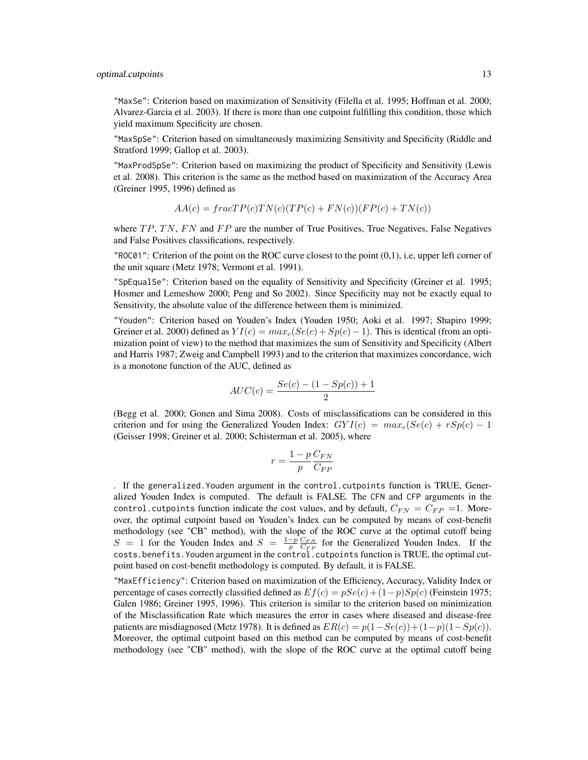"MaxSe": Criterion based on maximization of Sensitivity (Filella et al. 1995; Hoffman et al. 2000; Alvarez-Garcia et al. 2003). If there is more than one cutpoint fulfilling this condition, those which yield maximum Specificity are chosen.

"MaxSpSe": Criterion based on simultaneously maximizing Sensitivity and Specificity (Riddle and Stratford 1999; Gallop et al. 2003).

"MaxProdSpSe": Criterion based on maximizing the product of Specificity and Sensitivity (Lewis et al. 2008). This criterion is the same as the method based on maximization of the Accuracy Area (Greiner 1995, 1996) defined as

$$
AA(c) = fracTP(c)TN(c)(TP(c) + FN(c))(FP(c) + TN(c))
$$

where  $TP, TN, FN$  and  $FP$  are the number of True Positives, True Negatives, False Negatives and False Positives classifications, respectively.

 $"$ ROC01": Criterion of the point on the ROC curve closest to the point  $(0,1)$ , i.e, upper left corner of the unit square (Metz 1978; Vermont et al. 1991).

"SpEqualSe": Criterion based on the equality of Sensitivity and Specificity (Greiner et al. 1995; Hosmer and Lemeshow 2000; Peng and So 2002). Since Specificity may not be exactly equal to Sensitivity, the absolute value of the difference between them is minimized.

"Youden": Criterion based on Youden's Index (Youden 1950; Aoki et al. 1997; Shapiro 1999; Greiner et al. 2000) defined as  $YI(c) = max_c (Se(c) + Sp(c) - 1)$ . This is identical (from an optimization point of view) to the method that maximizes the sum of Sensitivity and Specificity (Albert and Harris 1987; Zweig and Campbell 1993) and to the criterion that maximizes concordance, wich is a monotone function of the AUC, defined as

$$
AUC(c) = \frac{Se(c) - (1 - Sp(c)) + 1}{2}
$$

(Begg et al. 2000; Gonen and Sima 2008). Costs of misclassifications can be considered in this criterion and for using the Generalized Youden Index:  $GYI(c) = max_c(Se(c) + rSp(c) - 1)$ (Geisser 1998; Greiner et al. 2000; Schisterman et al. 2005), where

$$
r = \frac{1 - p}{p} \frac{C_{FN}}{C_{FP}}
$$

. If the generalized.Youden argument in the control.cutpoints function is TRUE, Generalized Youden Index is computed. The default is FALSE. The CFN and CFP arguments in the control.cutpoints function indicate the cost values, and by default,  $C_{FN} = C_{FP} = 1$ . Moreover, the optimal cutpoint based on Youden's Index can be computed by means of cost-benefit methodology (see "CB" method), with the slope of the ROC curve at the optimal cutoff being  $S = 1$  for the Youden Index and  $S = \frac{1-p}{p} \frac{C_{FN}}{C_{FP}}$  for the Generalized Youden Index. If the costs.benefits. Youden argument in the control.cutpoints function is TRUE, the optimal cutpoint based on cost-benefit methodology is computed. By default, it is FALSE.

"MaxEfficiency": Criterion based on maximization of the Efficiency, Accuracy, Validity Index or percentage of cases correctly classified defined as  $E f(c) = pSe(c) + (1-p)Sp(c)$  (Feinstein 1975; Galen 1986; Greiner 1995, 1996). This criterion is similar to the criterion based on minimization of the Misclassification Rate which measures the error in cases where diseased and disease-free patients are misdiagnosed (Metz 1978). It is defined as  $ER(c) = p(1-Se(c)) + (1-p)(1-Sp(c))$ . Moreover, the optimal cutpoint based on this method can be computed by means of cost-benefit methodology (see "CB" method), with the slope of the ROC curve at the optimal cutoff being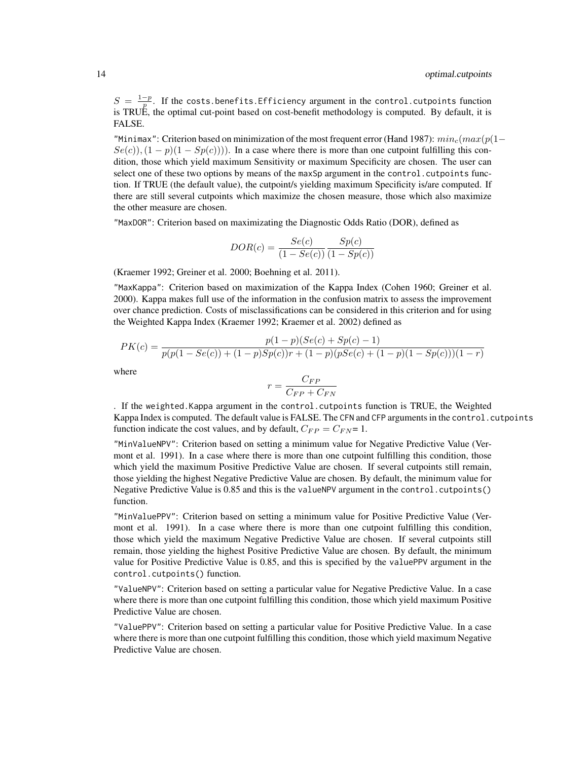$S = \frac{1-p}{p}$ . If the costs.benefits.Efficiency argument in the control.cutpoints function is TRUE, the optimal cut-point based on cost-benefit methodology is computed. By default, it is FALSE.

"Minimax": Criterion based on minimization of the most frequent error (Hand 1987):  $min_c(max(p(1-\alpha))$  $Se(c), (1-p)(1 - Sp(c)))$ . In a case where there is more than one cutpoint fulfilling this condition, those which yield maximum Sensitivity or maximum Specificity are chosen. The user can select one of these two options by means of the maxSp argument in the control.cutpoints function. If TRUE (the default value), the cutpoint/s yielding maximum Specificity is/are computed. If there are still several cutpoints which maximize the chosen measure, those which also maximize the other measure are chosen.

"MaxDOR": Criterion based on maximizating the Diagnostic Odds Ratio (DOR), defined as

$$
DOR(c) = \frac{Se(c)}{(1 - Se(c))} \frac{Sp(c)}{(1 - Sp(c))}
$$

(Kraemer 1992; Greiner et al. 2000; Boehning et al. 2011).

"MaxKappa": Criterion based on maximization of the Kappa Index (Cohen 1960; Greiner et al. 2000). Kappa makes full use of the information in the confusion matrix to assess the improvement over chance prediction. Costs of misclassifications can be considered in this criterion and for using the Weighted Kappa Index (Kraemer 1992; Kraemer et al. 2002) defined as

$$
PK(c) = \frac{p(1-p)(Se(c) + Sp(c) - 1)}{p(p(1 - Se(c)) + (1 - p)Sp(c))r + (1 - p)(pSe(c) + (1 - p)(1 - Sp(c)))(1 - r)}
$$

where

$$
r = \frac{C_{FP}}{C_{FP} + C_{FN}}
$$

. If the weighted.Kappa argument in the control.cutpoints function is TRUE, the Weighted Kappa Index is computed. The default value is FALSE. The CFN and CFP arguments in the control.cutpoints function indicate the cost values, and by default,  $C_{FP} = C_{FN} = 1$ .

"MinValueNPV": Criterion based on setting a minimum value for Negative Predictive Value (Vermont et al. 1991). In a case where there is more than one cutpoint fulfilling this condition, those which yield the maximum Positive Predictive Value are chosen. If several cutpoints still remain, those yielding the highest Negative Predictive Value are chosen. By default, the minimum value for Negative Predictive Value is 0.85 and this is the valueNPV argument in the control.cutpoints() function.

"MinValuePPV": Criterion based on setting a minimum value for Positive Predictive Value (Vermont et al. 1991). In a case where there is more than one cutpoint fulfilling this condition, those which yield the maximum Negative Predictive Value are chosen. If several cutpoints still remain, those yielding the highest Positive Predictive Value are chosen. By default, the minimum value for Positive Predictive Value is 0.85, and this is specified by the valuePPV argument in the control.cutpoints() function.

"ValueNPV": Criterion based on setting a particular value for Negative Predictive Value. In a case where there is more than one cutpoint fulfilling this condition, those which yield maximum Positive Predictive Value are chosen.

"ValuePPV": Criterion based on setting a particular value for Positive Predictive Value. In a case where there is more than one cutpoint fulfilling this condition, those which yield maximum Negative Predictive Value are chosen.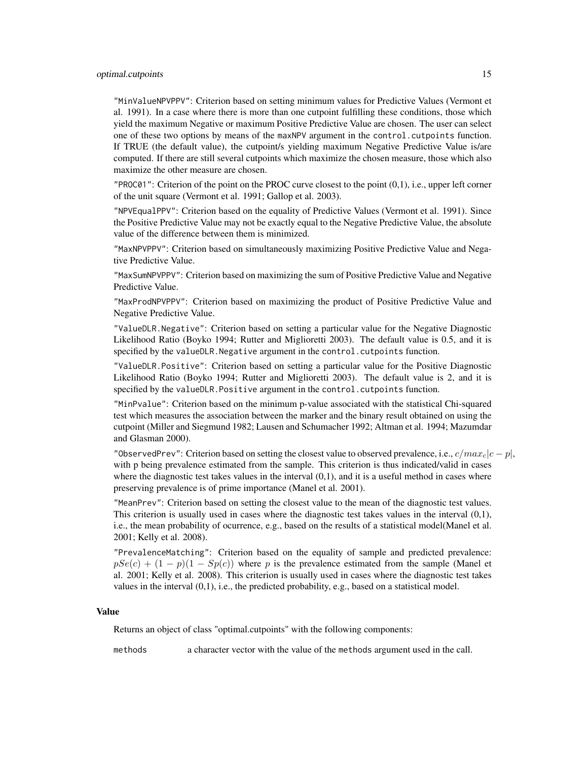#### optimal.cutpoints 15

"MinValueNPVPPV": Criterion based on setting minimum values for Predictive Values (Vermont et al. 1991). In a case where there is more than one cutpoint fulfilling these conditions, those which yield the maximum Negative or maximum Positive Predictive Value are chosen. The user can select one of these two options by means of the maxNPV argument in the control.cutpoints function. If TRUE (the default value), the cutpoint/s yielding maximum Negative Predictive Value is/are computed. If there are still several cutpoints which maximize the chosen measure, those which also maximize the other measure are chosen.

 $"PROC01"$ : Criterion of the point on the PROC curve closest to the point  $(0,1)$ , i.e., upper left corner of the unit square (Vermont et al. 1991; Gallop et al. 2003).

"NPVEqualPPV": Criterion based on the equality of Predictive Values (Vermont et al. 1991). Since the Positive Predictive Value may not be exactly equal to the Negative Predictive Value, the absolute value of the difference between them is minimized.

"MaxNPVPPV": Criterion based on simultaneously maximizing Positive Predictive Value and Negative Predictive Value.

"MaxSumNPVPPV": Criterion based on maximizing the sum of Positive Predictive Value and Negative Predictive Value.

"MaxProdNPVPPV": Criterion based on maximizing the product of Positive Predictive Value and Negative Predictive Value.

"ValueDLR.Negative": Criterion based on setting a particular value for the Negative Diagnostic Likelihood Ratio (Boyko 1994; Rutter and Miglioretti 2003). The default value is 0.5, and it is specified by the valueDLR.Negative argument in the control.cutpoints function.

"ValueDLR.Positive": Criterion based on setting a particular value for the Positive Diagnostic Likelihood Ratio (Boyko 1994; Rutter and Miglioretti 2003). The default value is 2, and it is specified by the valueDLR.Positive argument in the control.cutpoints function.

"MinPvalue": Criterion based on the minimum p-value associated with the statistical Chi-squared test which measures the association between the marker and the binary result obtained on using the cutpoint (Miller and Siegmund 1982; Lausen and Schumacher 1992; Altman et al. 1994; Mazumdar and Glasman 2000).

"ObservedPrev": Criterion based on setting the closest value to observed prevalence, i.e.,  $c/max<sub>c</sub>|c - p|$ , with p being prevalence estimated from the sample. This criterion is thus indicated/valid in cases where the diagnostic test takes values in the interval  $(0,1)$ , and it is a useful method in cases where preserving prevalence is of prime importance (Manel et al. 2001).

"MeanPrev": Criterion based on setting the closest value to the mean of the diagnostic test values. This criterion is usually used in cases where the diagnostic test takes values in the interval  $(0,1)$ , i.e., the mean probability of ocurrence, e.g., based on the results of a statistical model(Manel et al. 2001; Kelly et al. 2008).

"PrevalenceMatching": Criterion based on the equality of sample and predicted prevalence:  $pSe(c) + (1 - p)(1 - Sp(c))$  where p is the prevalence estimated from the sample (Manel et al. 2001; Kelly et al. 2008). This criterion is usually used in cases where the diagnostic test takes values in the interval (0,1), i.e., the predicted probability, e.g., based on a statistical model.

#### Value

Returns an object of class "optimal.cutpoints" with the following components:

methods a character vector with the value of the methods argument used in the call.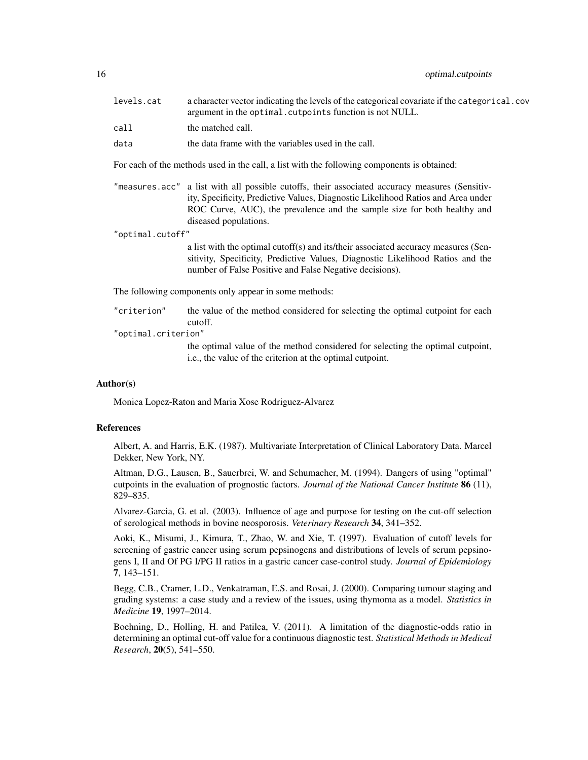| levels.cat | a character vector indicating the levels of the categorical covariate if the categorical.cov<br>argument in the optimal. cutpoints function is not NULL. |
|------------|----------------------------------------------------------------------------------------------------------------------------------------------------------|
| call       | the matched call.                                                                                                                                        |
| data       | the data frame with the variables used in the call.                                                                                                      |

For each of the methods used in the call, a list with the following components is obtained:

"measures.acc" a list with all possible cutoffs, their associated accuracy measures (Sensitivity, Specificity, Predictive Values, Diagnostic Likelihood Ratios and Area under ROC Curve, AUC), the prevalence and the sample size for both healthy and diseased populations.

"optimal.cutoff"

a list with the optimal cutoff(s) and its/their associated accuracy measures (Sensitivity, Specificity, Predictive Values, Diagnostic Likelihood Ratios and the number of False Positive and False Negative decisions).

The following components only appear in some methods:

| "criterion"         | the value of the method considered for selecting the optimal cutpoint for each        |
|---------------------|---------------------------------------------------------------------------------------|
|                     | cutoff.                                                                               |
| "optimal.criterion" |                                                                                       |
|                     | the continent college of the method constitued for activities the continent contained |

the optimal value of the method considered for selecting the optimal cutpoint, i.e., the value of the criterion at the optimal cutpoint.

#### Author(s)

Monica Lopez-Raton and Maria Xose Rodriguez-Alvarez

#### References

Albert, A. and Harris, E.K. (1987). Multivariate Interpretation of Clinical Laboratory Data. Marcel Dekker, New York, NY.

Altman, D.G., Lausen, B., Sauerbrei, W. and Schumacher, M. (1994). Dangers of using "optimal" cutpoints in the evaluation of prognostic factors. *Journal of the National Cancer Institute* 86 (11), 829–835.

Alvarez-Garcia, G. et al. (2003). Influence of age and purpose for testing on the cut-off selection of serological methods in bovine neosporosis. *Veterinary Research* 34, 341–352.

Aoki, K., Misumi, J., Kimura, T., Zhao, W. and Xie, T. (1997). Evaluation of cutoff levels for screening of gastric cancer using serum pepsinogens and distributions of levels of serum pepsinogens I, II and Of PG I/PG II ratios in a gastric cancer case-control study. *Journal of Epidemiology* 7, 143–151.

Begg, C.B., Cramer, L.D., Venkatraman, E.S. and Rosai, J. (2000). Comparing tumour staging and grading systems: a case study and a review of the issues, using thymoma as a model. *Statistics in Medicine* 19, 1997–2014.

Boehning, D., Holling, H. and Patilea, V. (2011). A limitation of the diagnostic-odds ratio in determining an optimal cut-off value for a continuous diagnostic test. *Statistical Methods in Medical Research*, 20(5), 541–550.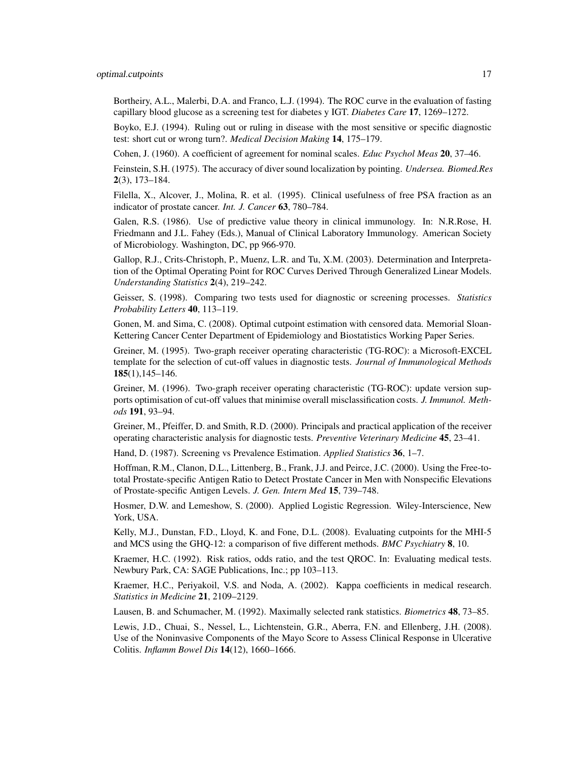Bortheiry, A.L., Malerbi, D.A. and Franco, L.J. (1994). The ROC curve in the evaluation of fasting capillary blood glucose as a screening test for diabetes y IGT. *Diabetes Care* 17, 1269–1272.

Boyko, E.J. (1994). Ruling out or ruling in disease with the most sensitive or specific diagnostic test: short cut or wrong turn?. *Medical Decision Making* 14, 175–179.

Cohen, J. (1960). A coefficient of agreement for nominal scales. *Educ Psychol Meas* 20, 37–46.

Feinstein, S.H. (1975). The accuracy of diver sound localization by pointing. *Undersea. Biomed.Res* 2(3), 173–184.

Filella, X., Alcover, J., Molina, R. et al. (1995). Clinical usefulness of free PSA fraction as an indicator of prostate cancer. *Int. J. Cancer* 63, 780–784.

Galen, R.S. (1986). Use of predictive value theory in clinical immunology. In: N.R.Rose, H. Friedmann and J.L. Fahey (Eds.), Manual of Clinical Laboratory Immunology. American Society of Microbiology. Washington, DC, pp 966-970.

Gallop, R.J., Crits-Christoph, P., Muenz, L.R. and Tu, X.M. (2003). Determination and Interpretation of the Optimal Operating Point for ROC Curves Derived Through Generalized Linear Models. *Understanding Statistics* 2(4), 219–242.

Geisser, S. (1998). Comparing two tests used for diagnostic or screening processes. *Statistics Probability Letters* 40, 113–119.

Gonen, M. and Sima, C. (2008). Optimal cutpoint estimation with censored data. Memorial Sloan-Kettering Cancer Center Department of Epidemiology and Biostatistics Working Paper Series.

Greiner, M. (1995). Two-graph receiver operating characteristic (TG-ROC): a Microsoft-EXCEL template for the selection of cut-off values in diagnostic tests. *Journal of Immunological Methods* 185(1),145–146.

Greiner, M. (1996). Two-graph receiver operating characteristic (TG-ROC): update version supports optimisation of cut-off values that minimise overall misclassification costs. *J. Immunol. Methods* 191, 93–94.

Greiner, M., Pfeiffer, D. and Smith, R.D. (2000). Principals and practical application of the receiver operating characteristic analysis for diagnostic tests. *Preventive Veterinary Medicine* 45, 23–41.

Hand, D. (1987). Screening vs Prevalence Estimation. *Applied Statistics* 36, 1–7.

Hoffman, R.M., Clanon, D.L., Littenberg, B., Frank, J.J. and Peirce, J.C. (2000). Using the Free-tototal Prostate-specific Antigen Ratio to Detect Prostate Cancer in Men with Nonspecific Elevations of Prostate-specific Antigen Levels. *J. Gen. Intern Med* 15, 739–748.

Hosmer, D.W. and Lemeshow, S. (2000). Applied Logistic Regression. Wiley-Interscience, New York, USA.

Kelly, M.J., Dunstan, F.D., Lloyd, K. and Fone, D.L. (2008). Evaluating cutpoints for the MHI-5 and MCS using the GHQ-12: a comparison of five different methods. *BMC Psychiatry* 8, 10.

Kraemer, H.C. (1992). Risk ratios, odds ratio, and the test QROC. In: Evaluating medical tests. Newbury Park, CA: SAGE Publications, Inc.; pp 103–113.

Kraemer, H.C., Periyakoil, V.S. and Noda, A. (2002). Kappa coefficients in medical research. *Statistics in Medicine* 21, 2109–2129.

Lausen, B. and Schumacher, M. (1992). Maximally selected rank statistics. *Biometrics* 48, 73–85.

Lewis, J.D., Chuai, S., Nessel, L., Lichtenstein, G.R., Aberra, F.N. and Ellenberg, J.H. (2008). Use of the Noninvasive Components of the Mayo Score to Assess Clinical Response in Ulcerative Colitis. *Inflamm Bowel Dis* 14(12), 1660–1666.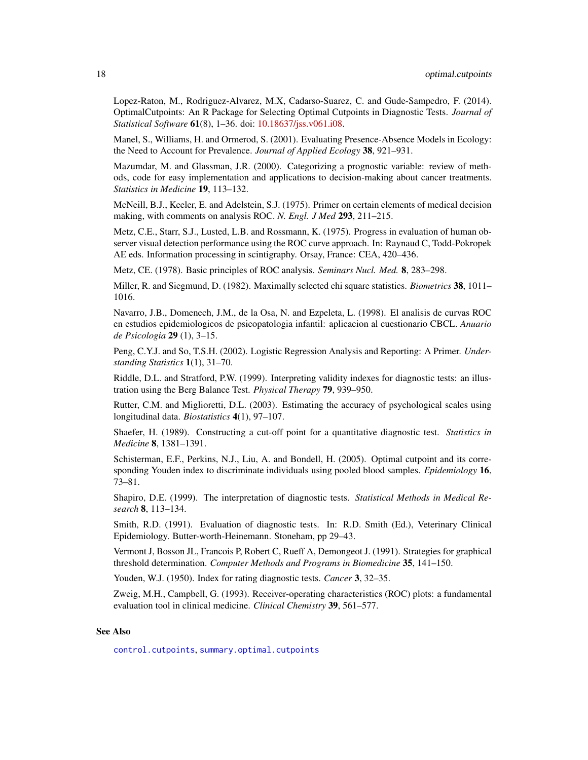<span id="page-17-0"></span>Lopez-Raton, M., Rodriguez-Alvarez, M.X, Cadarso-Suarez, C. and Gude-Sampedro, F. (2014). OptimalCutpoints: An R Package for Selecting Optimal Cutpoints in Diagnostic Tests. *Journal of Statistical Software* 61(8), 1–36. doi: [10.18637/jss.v061.i08.](https://doi.org/10.18637/jss.v061.i08)

Manel, S., Williams, H. and Ormerod, S. (2001). Evaluating Presence-Absence Models in Ecology: the Need to Account for Prevalence. *Journal of Applied Ecology* 38, 921–931.

Mazumdar, M. and Glassman, J.R. (2000). Categorizing a prognostic variable: review of methods, code for easy implementation and applications to decision-making about cancer treatments. *Statistics in Medicine* 19, 113–132.

McNeill, B.J., Keeler, E. and Adelstein, S.J. (1975). Primer on certain elements of medical decision making, with comments on analysis ROC. *N. Engl. J Med* 293, 211–215.

Metz, C.E., Starr, S.J., Lusted, L.B. and Rossmann, K. (1975). Progress in evaluation of human observer visual detection performance using the ROC curve approach. In: Raynaud C, Todd-Pokropek AE eds. Information processing in scintigraphy. Orsay, France: CEA, 420–436.

Metz, CE. (1978). Basic principles of ROC analysis. *Seminars Nucl. Med.* 8, 283–298.

Miller, R. and Siegmund, D. (1982). Maximally selected chi square statistics. *Biometrics* 38, 1011– 1016.

Navarro, J.B., Domenech, J.M., de la Osa, N. and Ezpeleta, L. (1998). El analisis de curvas ROC en estudios epidemiologicos de psicopatologia infantil: aplicacion al cuestionario CBCL. *Anuario de Psicologia* 29 (1), 3–15.

Peng, C.Y.J. and So, T.S.H. (2002). Logistic Regression Analysis and Reporting: A Primer. *Understanding Statistics* 1(1), 31–70.

Riddle, D.L. and Stratford, P.W. (1999). Interpreting validity indexes for diagnostic tests: an illustration using the Berg Balance Test. *Physical Therapy* 79, 939–950.

Rutter, C.M. and Miglioretti, D.L. (2003). Estimating the accuracy of psychological scales using longitudinal data. *Biostatistics* 4(1), 97–107.

Shaefer, H. (1989). Constructing a cut-off point for a quantitative diagnostic test. *Statistics in Medicine* 8, 1381–1391.

Schisterman, E.F., Perkins, N.J., Liu, A. and Bondell, H. (2005). Optimal cutpoint and its corresponding Youden index to discriminate individuals using pooled blood samples. *Epidemiology* 16, 73–81.

Shapiro, D.E. (1999). The interpretation of diagnostic tests. *Statistical Methods in Medical Research* 8, 113–134.

Smith, R.D. (1991). Evaluation of diagnostic tests. In: R.D. Smith (Ed.), Veterinary Clinical Epidemiology. Butter-worth-Heinemann. Stoneham, pp 29–43.

Vermont J, Bosson JL, Francois P, Robert C, Rueff A, Demongeot J. (1991). Strategies for graphical threshold determination. *Computer Methods and Programs in Biomedicine* 35, 141–150.

Youden, W.J. (1950). Index for rating diagnostic tests. *Cancer* 3, 32–35.

Zweig, M.H., Campbell, G. (1993). Receiver-operating characteristics (ROC) plots: a fundamental evaluation tool in clinical medicine. *Clinical Chemistry* 39, 561–577.

#### See Also

[control.cutpoints](#page-2-1), [summary.optimal.cutpoints](#page-21-1)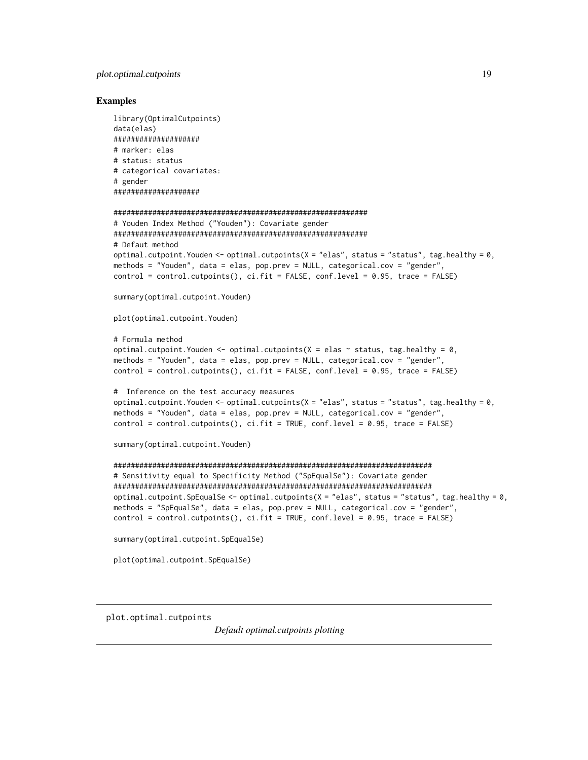#### <span id="page-18-0"></span>Examples

```
library(OptimalCutpoints)
data(elas)
####################
# marker: elas
# status: status
# categorical covariates:
# gender
####################
###########################################################
# Youden Index Method ("Youden"): Covariate gender
###########################################################
# Defaut method
optimal.cutpoint.Youden <- optimal.cutpoints(X = "elas", status = "status", tag-health = 0,methods = "Youden", data = elas, pop.prev = NULL, categorical.cov = "gender",
control = control.cutpoints(), ci.fit = FALSE, conf.level = 0.95, trace = FALSE)summary(optimal.cutpoint.Youden)
plot(optimal.cutpoint.Youden)
# Formula method
optimal.cutpoint.Youden <- optimal.cutpoints(X = elas ~ ~status, tag.healthy = 0,
methods = "Youden", data = elas, pop.prev = NULL, categorical.cov = "gender",
control = control.cutpoints(), ci.fit = FALSE, conf.level = 0.95, trace = FALSE)
# Inference on the test accuracy measures
optimal.cutpoint.Youden \leq- optimal.cutpoints(X = "elas", status = "status", tag.healthy = 0,
methods = "Youden", data = elas, pop.prev = NULL, categorical.cov = "gender",
control = control.cutpoints(), c i.fit = TRUE, conf.level = 0.95, trace = FALSE)summary(optimal.cutpoint.Youden)
##########################################################################
# Sensitivity equal to Specificity Method ("SpEqualSe"): Covariate gender
##########################################################################
optimal.cutpoint.SpEqualSe <- optimal.cutpoints(X = "elas", status = "status", tag.healthy = 0,
methods = "SpEqualSe", data = elas, pop.prev = NULL, categorical.cov = "gender",
control = control.cutpoints(), c i.fit = TRUE, conf.level = 0.95, trace = FALSE)summary(optimal.cutpoint.SpEqualSe)
plot(optimal.cutpoint.SpEqualSe)
```
plot.optimal.cutpoints

*Default optimal.cutpoints plotting*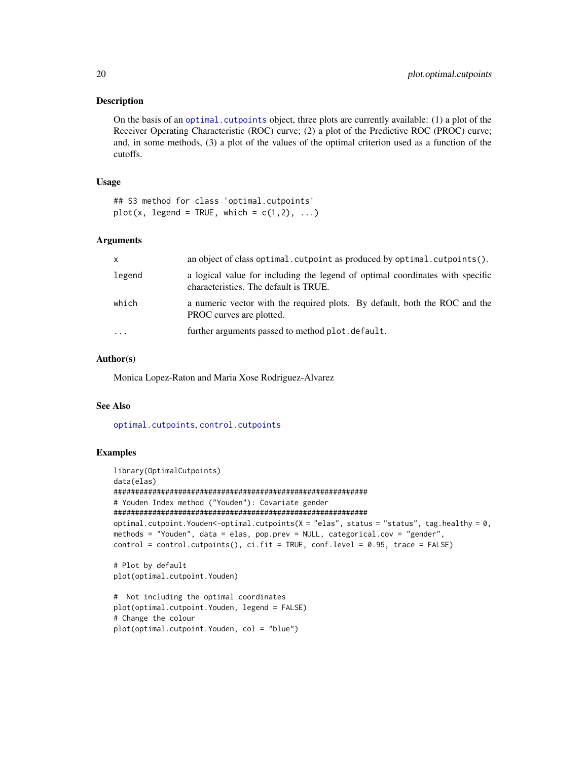#### <span id="page-19-0"></span>Description

On the basis of an [optimal.cutpoints](#page-9-1) object, three plots are currently available: (1) a plot of the Receiver Operating Characteristic (ROC) curve; (2) a plot of the Predictive ROC (PROC) curve; and, in some methods, (3) a plot of the values of the optimal criterion used as a function of the cutoffs.

#### Usage

## S3 method for class 'optimal.cutpoints'  $plot(x, legend = TRUE, which = c(1,2), ...)$ 

#### Arguments

| X        | an object of class optimal. cutpoint as produced by optimal. cutpoints ().                                             |
|----------|------------------------------------------------------------------------------------------------------------------------|
| legend   | a logical value for including the legend of optimal coordinates with specific<br>characteristics. The default is TRUE. |
| which    | a numeric vector with the required plots. By default, both the ROC and the<br>PROC curves are plotted.                 |
| $\cdots$ | further arguments passed to method plot. default.                                                                      |

#### Author(s)

Monica Lopez-Raton and Maria Xose Rodriguez-Alvarez

#### See Also

[optimal.cutpoints](#page-9-1), [control.cutpoints](#page-2-1)

plot(optimal.cutpoint.Youden, col = "blue")

#### Examples

```
library(OptimalCutpoints)
data(elas)
###########################################################
# Youden Index method ("Youden"): Covariate gender
###########################################################
optimal.cutpoint.Youden<-optimal.cutpoints(X = "elas", status = "status", tag.healthy = 0,
methods = "Youden", data = elas, pop.prev = NULL, categorical.cov = "gender",
control = control.cutpoints(), ci.fit = TRUE, conf.level = 0.95, trace = FALSE)# Plot by default
plot(optimal.cutpoint.Youden)
# Not including the optimal coordinates
plot(optimal.cutpoint.Youden, legend = FALSE)
# Change the colour
```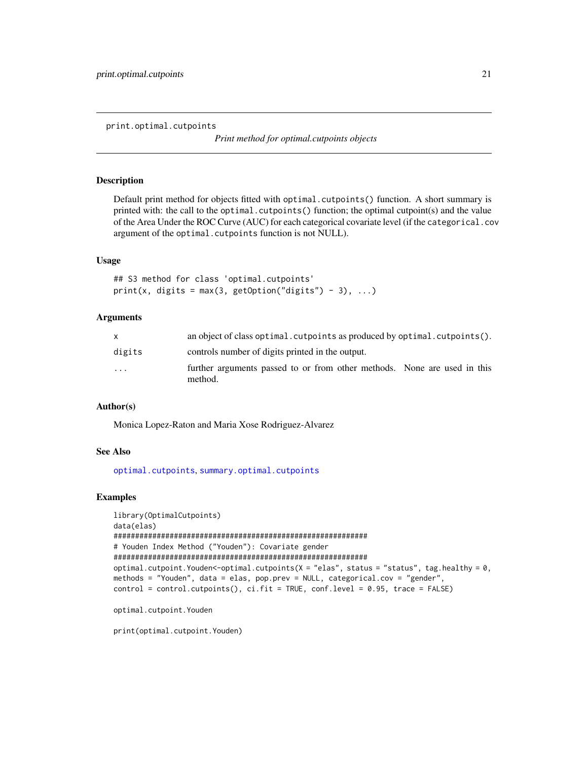<span id="page-20-0"></span>print.optimal.cutpoints

*Print method for optimal.cutpoints objects*

#### Description

Default print method for objects fitted with optimal.cutpoints() function. A short summary is printed with: the call to the optimal.cutpoints() function; the optimal cutpoint(s) and the value of the Area Under the ROC Curve (AUC) for each categorical covariate level (if the categorical.cov argument of the optimal.cutpoints function is not NULL).

#### Usage

## S3 method for class 'optimal.cutpoints' print(x, digits = max(3, getOption("digits") - 3), ...)

#### Arguments

| X      | an object of class optimal. cutpoints as produced by optimal. cutpoints().          |
|--------|-------------------------------------------------------------------------------------|
| digits | controls number of digits printed in the output.                                    |
| .      | further arguments passed to or from other methods. None are used in this<br>method. |

#### Author(s)

Monica Lopez-Raton and Maria Xose Rodriguez-Alvarez

#### See Also

[optimal.cutpoints](#page-9-1), [summary.optimal.cutpoints](#page-21-1)

#### Examples

```
library(OptimalCutpoints)
data(elas)
###########################################################
# Youden Index Method ("Youden"): Covariate gender
###########################################################
optimal.cutpoint.Youden<-optimal.cutpoints(X = "elas", status = "status", tag.healthy = 0,
methods = "Youden", data = elas, pop.prev = NULL, categorical.cov = "gender",
control = control.cutpoints(), ci.fit = TRUE, conf.level = 0.95, trace = FALSE)
```
optimal.cutpoint.Youden

print(optimal.cutpoint.Youden)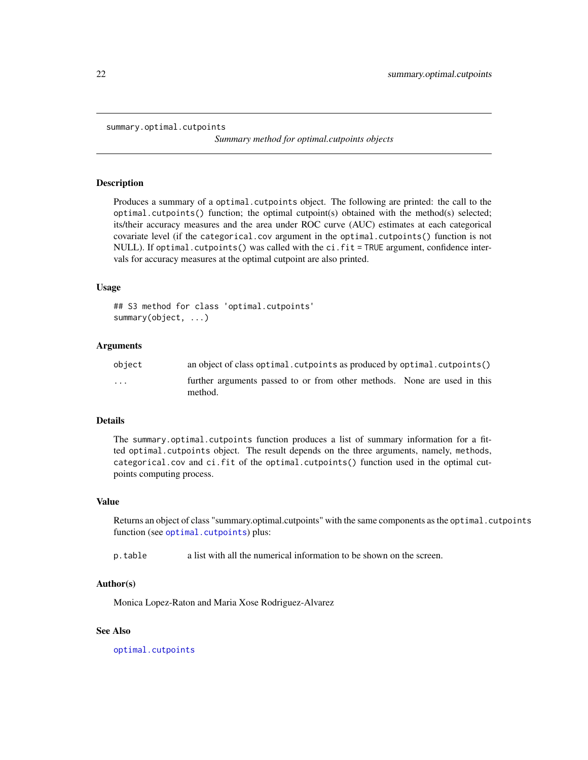```
summary.optimal.cutpoints
```
*Summary method for optimal.cutpoints objects*

#### **Description**

Produces a summary of a optimal.cutpoints object. The following are printed: the call to the optimal.cutpoints() function; the optimal cutpoint(s) obtained with the method(s) selected; its/their accuracy measures and the area under ROC curve (AUC) estimates at each categorical covariate level (if the categorical.cov argument in the optimal.cutpoints() function is not NULL). If optimal.cutpoints() was called with the ci.fit = TRUE argument, confidence intervals for accuracy measures at the optimal cutpoint are also printed.

#### Usage

```
## S3 method for class 'optimal.cutpoints'
summary(object, ...)
```
#### Arguments

| object                  | an object of class optimal. cutpoints as produced by optimal. cutpoints()           |
|-------------------------|-------------------------------------------------------------------------------------|
| $\cdot$ $\cdot$ $\cdot$ | further arguments passed to or from other methods. None are used in this<br>method. |

#### Details

The summary.optimal.cutpoints function produces a list of summary information for a fitted optimal.cutpoints object. The result depends on the three arguments, namely, methods, categorical.cov and ci.fit of the optimal.cutpoints() function used in the optimal cutpoints computing process.

#### Value

Returns an object of class "summary.optimal.cutpoints" with the same components as the optimal.cutpoints function (see [optimal.cutpoints](#page-9-1)) plus:

p.table a list with all the numerical information to be shown on the screen.

#### Author(s)

Monica Lopez-Raton and Maria Xose Rodriguez-Alvarez

#### See Also

[optimal.cutpoints](#page-9-1)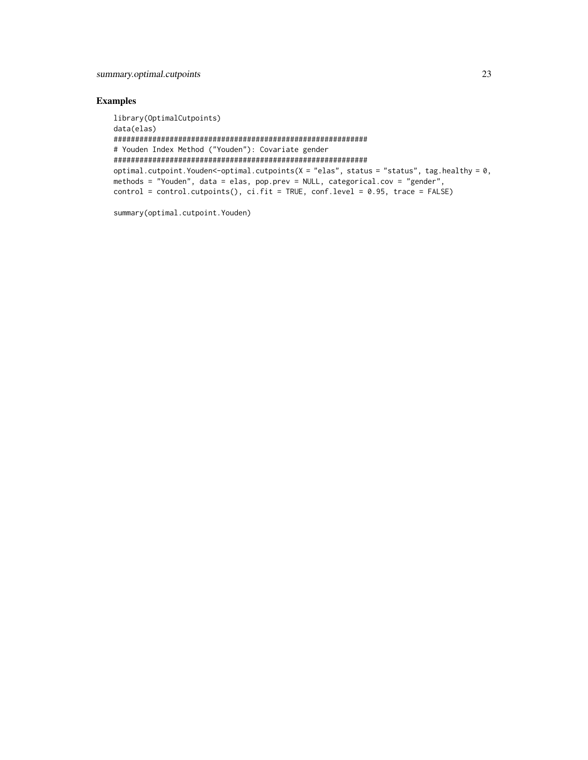#### Examples

```
library(OptimalCutpoints)
data(elas)
###########################################################
# Youden Index Method ("Youden"): Covariate gender
###########################################################
optimal.cutpoint.Youden<-optimal.cutpoints(X = "elas", status = "status", tag.healthy = \theta,
methods = "Youden", data = elas, pop.prev = NULL, categorical.cov = "gender",
control = control.cutpoints(), c i.fit = TRUE, conf. level = 0.95, trace = FALSE)
```
summary(optimal.cutpoint.Youden)